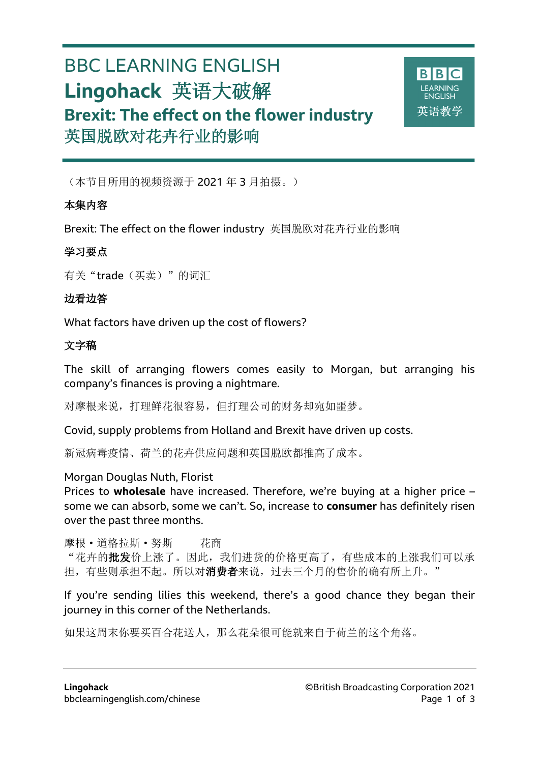# BBC LEARNING ENGLISH **Lingohack** 英语大破解 **Brexit: The effect on the flower industry** 英国脱欧对花卉行业的影响

**BIBIC** 英语教学

(本节目所用的视频资源于 2021 年 3 月拍摄。)

## 本集内容

l

Brexit: The effect on the flower industry 英国脱欧对花卉行业的影响

#### 学习要点

有关"trade(买卖)"的词汇

#### 边看边答

What factors have driven up the cost of flowers?

## 文字稿

The skill of arranging flowers comes easily to Morgan, but arranging his company's finances is proving a nightmare.

对摩根来说,打理鲜花很容易,但打理公司的财务却宛如噩梦。

Covid, supply problems from Holland and Brexit have driven up costs.

新冠病毒疫情、荷兰的花卉供应问题和英国脱欧都推高了成本。

#### Morgan Douglas Nuth, Florist

Prices to **wholesale** have increased. Therefore, we're buying at a higher price – some we can absorb, some we can't. So, increase to **consumer** has definitely risen over the past three months.

摩根·道格拉斯·努斯 花商

"花卉的批发价上涨了。因此,我们进货的价格更高了,有些成本的上涨我们可以承 担,有些则承担不起。所以对消费者来说,过去三个月的售价的确有所上升。"

If you're sending lilies this weekend, there's a good chance they began their journey in this corner of the Netherlands.

如果这周末你要买百合花送人,那么花朵很可能就来自于荷兰的这个角落。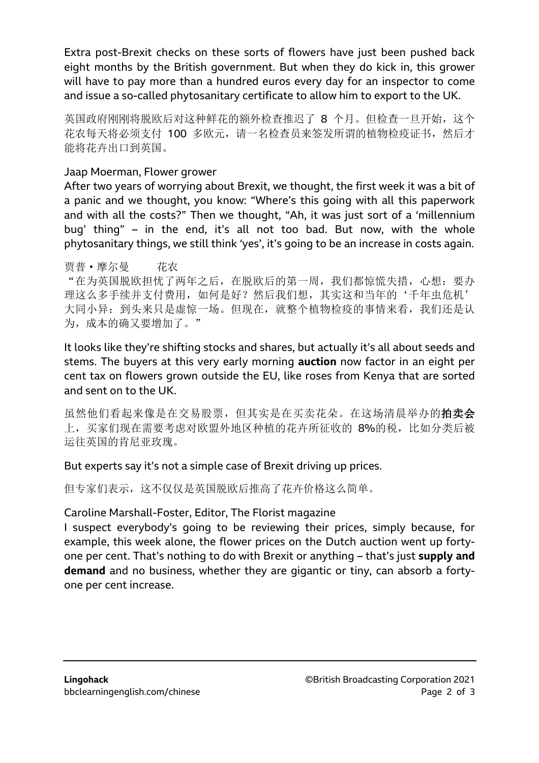Extra post-Brexit checks on these sorts of flowers have just been pushed back eight months by the British government. But when they do kick in, this grower will have to pay more than a hundred euros every day for an inspector to come and issue a so-called phytosanitary certificate to allow him to export to the UK.

英国政府刚刚将脱欧后对这种鲜花的额外检查推迟了 8 个月。但检查一旦开始, 这个 花农每天将必须支付 100 多欧元,请一名检查员来签发所谓的植物检疫证书,然后才 能将花卉出口到英国。

#### Jaap Moerman, Flower grower

After two years of worrying about Brexit, we thought, the first week it was a bit of a panic and we thought, you know: "Where's this going with all this paperwork and with all the costs?" Then we thought, "Ah, it was just sort of a 'millennium bug' thing" – in the end, it's all not too bad. But now, with the whole phytosanitary things, we still think 'yes', it's going to be an increase in costs again.

贾普·摩尔曼 花农 "在为英国脱欧担忧了两年之后,在脱欧后的第一周,我们都惊慌失措,心想:要办 理这么多手续并支付费用,如何是好?然后我们想,其实这和当年的'千年虫危机' 大同小异: 到头来只是虚惊一场。但现在, 就整个植物检疫的事情来看, 我们还是认 为, 成本的确又要增加了。"

#### It looks like they're shifting stocks and shares, but actually it's all about seeds and stems. The buyers at this very early morning **auction** now factor in an eight per cent tax on flowers grown outside the EU, like roses from Kenya that are sorted and sent on to the UK.

虽然他们看起来像是在交易股票,但其实是在买卖花朵。在这场清晨举办的拍卖会 上,买家们现在需要考虑对欧盟外地区种植的花卉所征收的 8%的税,比如分类后被 运往英国的肯尼亚玫瑰。

# But experts say it's not a simple case of Brexit driving up prices.

但专家们表示,这不仅仅是英国脱欧后推高了花卉价格这么简单。

# Caroline Marshall-Foster, Editor, The Florist magazine

I suspect everybody's going to be reviewing their prices, simply because, for example, this week alone, the flower prices on the Dutch auction went up fortyone per cent. That's nothing to do with Brexit or anything – that's just **supply and demand** and no business, whether they are gigantic or tiny, can absorb a fortyone per cent increase.